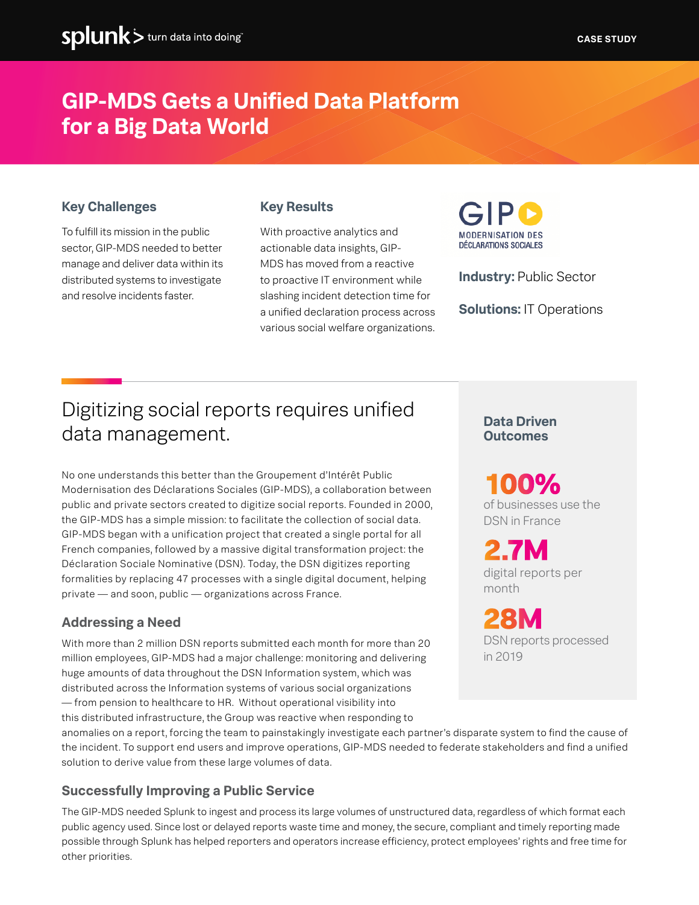## **GIP-MDS Gets a Unified Data Platform for a Big Data World**

#### **Key Challenges**

To fulfill its mission in the public sector, GIP-MDS needed to better manage and deliver data within its distributed systems to investigate and resolve incidents faster.

#### **Key Results**

With proactive analytics and actionable data insights, GIP-MDS has moved from a reactive to proactive IT environment while slashing incident detection time for a unified declaration process across various social welfare organizations.



**Industry:** Public Sector

**Solutions:** IT Operations

## Digitizing social reports requires unified data management.

No one understands this better than the Groupement d'Intérêt Public Modernisation des Déclarations Sociales (GIP-MDS), a collaboration between public and private sectors created to digitize social reports. Founded in 2000, the GIP-MDS has a simple mission: to facilitate the collection of social data. GIP-MDS began with a unification project that created a single portal for all French companies, followed by a massive digital transformation project: the Déclaration Sociale Nominative (DSN). Today, the DSN digitizes reporting formalities by replacing 47 processes with a single digital document, helping private — and soon, public — organizations across France.

#### **Addressing a Need**

With more than 2 million DSN reports submitted each month for more than 20 million employees, GIP-MDS had a major challenge: monitoring and delivering huge amounts of data throughout the DSN Information system, which was distributed across the Information systems of various social organizations — from pension to healthcare to HR. Without operational visibility into

this distributed infrastructure, the Group was reactive when responding to

anomalies on a report, forcing the team to painstakingly investigate each partner's disparate system to find the cause of the incident. To support end users and improve operations, GIP-MDS needed to federate stakeholders and find a unified solution to derive value from these large volumes of data.

#### **Successfully Improving a Public Service**

The GIP-MDS needed Splunk to ingest and process its large volumes of unstructured data, regardless of which format each public agency used. Since lost or delayed reports waste time and money, the secure, compliant and timely reporting made possible through Splunk has helped reporters and operators increase efficiency, protect employees' rights and free time for other priorities.

### **Data Driven Outcomes**

of businesses use the DSN in France **100%**

digital reports per month **2.7M**

DSN reports processed in 2019 **28M**